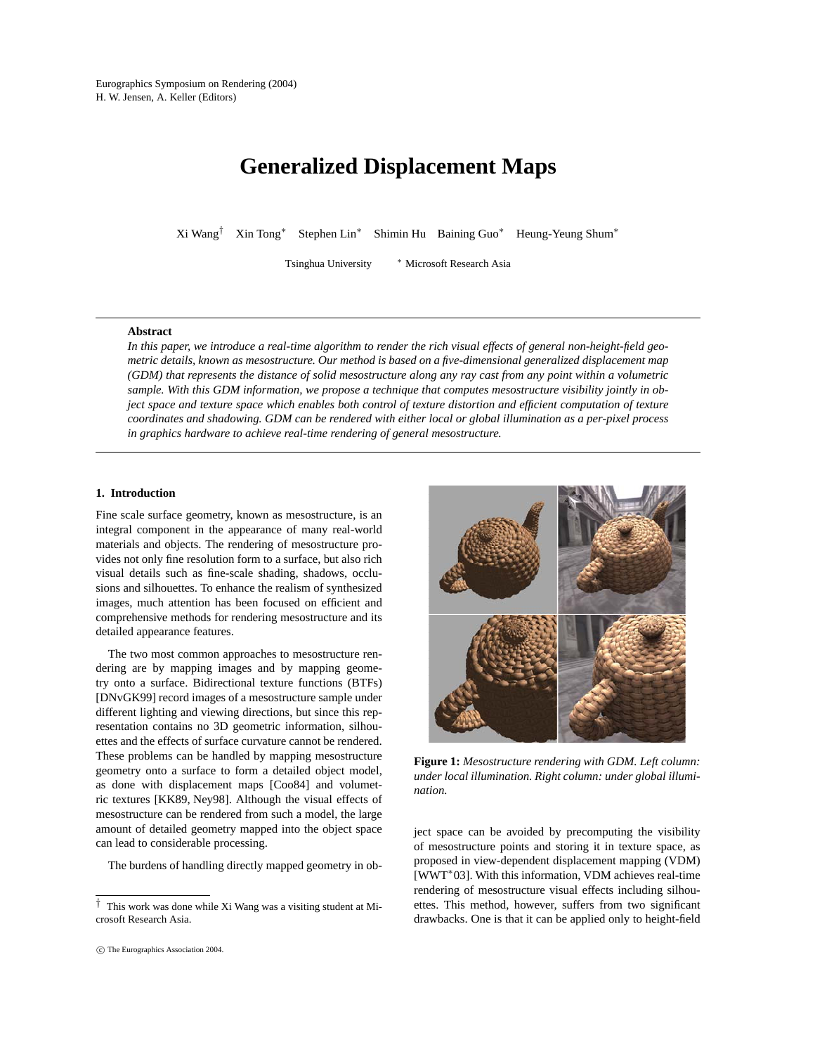# **Generalized Displacement Maps**

Xi Wang† Xin Tong∗ Stephen Lin∗ Shimin Hu Baining Guo∗ Heung-Yeung Shum∗

Tsinghua University <sup>∗</sup> Microsoft Research Asia

## **Abstract**

*In this paper, we introduce a real-time algorithm to render the rich visual effects of general non-height-field geometric details, known as mesostructure. Our method is based on a five-dimensional generalized displacement map (GDM) that represents the distance of solid mesostructure along any ray cast from any point within a volumetric sample. With this GDM information, we propose a technique that computes mesostructure visibility jointly in object space and texture space which enables both control of texture distortion and efficient computation of texture coordinates and shadowing. GDM can be rendered with either local or global illumination as a per-pixel process in graphics hardware to achieve real-time rendering of general mesostructure.*

## **1. Introduction**

Fine scale surface geometry, known as mesostructure, is an integral component in the appearance of many real-world materials and objects. The rendering of mesostructure provides not only fine resolution form to a surface, but also rich visual details such as fine-scale shading, shadows, occlusions and silhouettes. To enhance the realism of synthesized images, much attention has been focused on efficient and comprehensive methods for rendering mesostructure and its detailed appearance features.

The two most common approaches to mesostructure rendering are by mapping images and by mapping geometry onto a surface. Bidirectional texture functions (BTFs) [DNvGK99] record images of a mesostructure sample under different lighting and viewing directions, but since this representation contains no 3D geometric information, silhouettes and the effects of surface curvature cannot be rendered. These problems can be handled by mapping mesostructure geometry onto a surface to form a detailed object model, as done with displacement maps [Coo84] and volumetric textures [KK89, Ney98]. Although the visual effects of mesostructure can be rendered from such a model, the large amount of detailed geometry mapped into the object space can lead to considerable processing.

The burdens of handling directly mapped geometry in ob-

ject space can be avoided by precomputing the visibility of mesostructure points and storing it in texture space, as proposed in view-dependent displacement mapping (VDM) [WWT∗03]. With this information, VDM achieves real-time rendering of mesostructure visual effects including silhouettes. This method, however, suffers from two significant drawbacks. One is that it can be applied only to height-field

*<sup>†</sup>* This work was done while Xi Wang was a visiting student at Microsoft Research Asia.

**Figure 1:** *Mesostructure rendering with GDM. Left column: under local illumination. Right column: under global illumination.*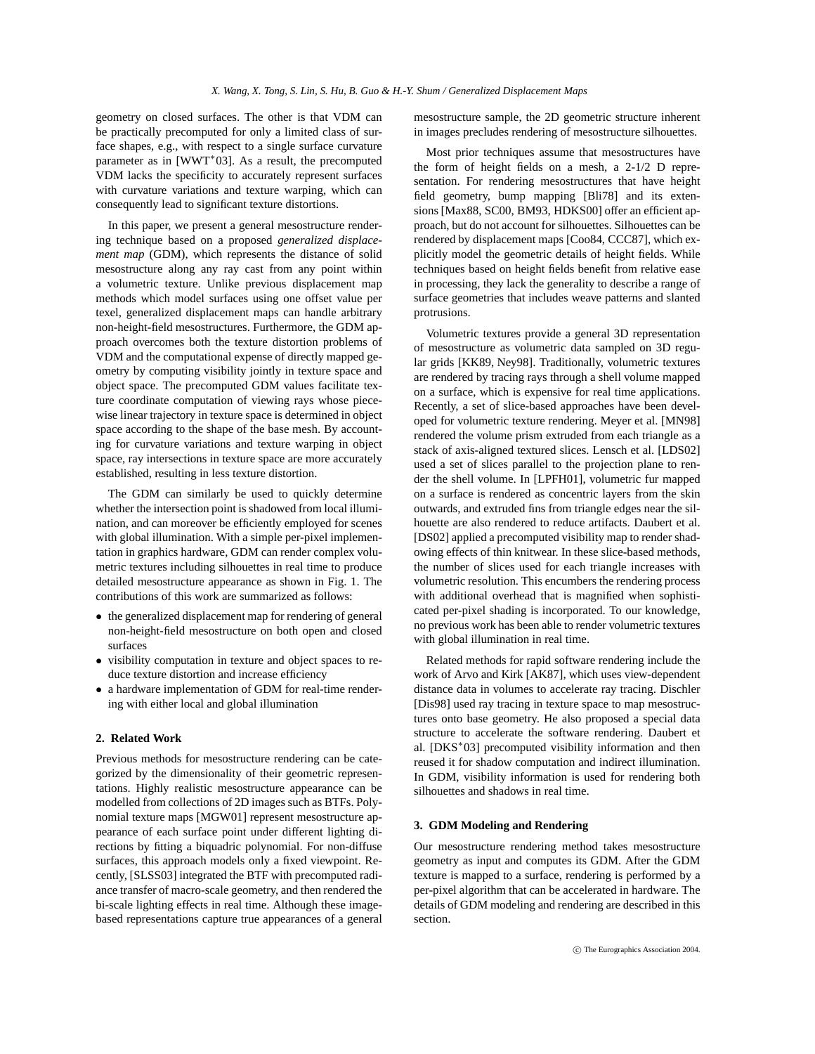geometry on closed surfaces. The other is that VDM can be practically precomputed for only a limited class of surface shapes, e.g., with respect to a single surface curvature parameter as in [WWT<sup>\*</sup>03]. As a result, the precomputed VDM lacks the specificity to accurately represent surfaces with curvature variations and texture warping, which can consequently lead to significant texture distortions.

In this paper, we present a general mesostructure rendering technique based on a proposed *generalized displacement map* (GDM), which represents the distance of solid mesostructure along any ray cast from any point within a volumetric texture. Unlike previous displacement map methods which model surfaces using one offset value per texel, generalized displacement maps can handle arbitrary non-height-field mesostructures. Furthermore, the GDM approach overcomes both the texture distortion problems of VDM and the computational expense of directly mapped geometry by computing visibility jointly in texture space and object space. The precomputed GDM values facilitate texture coordinate computation of viewing rays whose piecewise linear trajectory in texture space is determined in object space according to the shape of the base mesh. By accounting for curvature variations and texture warping in object space, ray intersections in texture space are more accurately established, resulting in less texture distortion.

The GDM can similarly be used to quickly determine whether the intersection point is shadowed from local illumination, and can moreover be efficiently employed for scenes with global illumination. With a simple per-pixel implementation in graphics hardware, GDM can render complex volumetric textures including silhouettes in real time to produce detailed mesostructure appearance as shown in Fig. 1. The contributions of this work are summarized as follows:

- the generalized displacement map for rendering of general non-height-field mesostructure on both open and closed surfaces
- *•* visibility computation in texture and object spaces to reduce texture distortion and increase efficiency
- *•* a hardware implementation of GDM for real-time rendering with either local and global illumination

## **2. Related Work**

Previous methods for mesostructure rendering can be categorized by the dimensionality of their geometric representations. Highly realistic mesostructure appearance can be modelled from collections of 2D images such as BTFs. Polynomial texture maps [MGW01] represent mesostructure appearance of each surface point under different lighting directions by fitting a biquadric polynomial. For non-diffuse surfaces, this approach models only a fixed viewpoint. Recently, [SLSS03] integrated the BTF with precomputed radiance transfer of macro-scale geometry, and then rendered the bi-scale lighting effects in real time. Although these imagebased representations capture true appearances of a general mesostructure sample, the 2D geometric structure inherent in images precludes rendering of mesostructure silhouettes.

Most prior techniques assume that mesostructures have the form of height fields on a mesh, a 2-1/2 D representation. For rendering mesostructures that have height field geometry, bump mapping [Bli78] and its extensions [Max88, SC00, BM93, HDKS00] offer an efficient approach, but do not account for silhouettes. Silhouettes can be rendered by displacement maps [Coo84, CCC87], which explicitly model the geometric details of height fields. While techniques based on height fields benefit from relative ease in processing, they lack the generality to describe a range of surface geometries that includes weave patterns and slanted protrusions.

Volumetric textures provide a general 3D representation of mesostructure as volumetric data sampled on 3D regular grids [KK89, Ney98]. Traditionally, volumetric textures are rendered by tracing rays through a shell volume mapped on a surface, which is expensive for real time applications. Recently, a set of slice-based approaches have been developed for volumetric texture rendering. Meyer et al. [MN98] rendered the volume prism extruded from each triangle as a stack of axis-aligned textured slices. Lensch et al. [LDS02] used a set of slices parallel to the projection plane to render the shell volume. In [LPFH01], volumetric fur mapped on a surface is rendered as concentric layers from the skin outwards, and extruded fins from triangle edges near the silhouette are also rendered to reduce artifacts. Daubert et al. [DS02] applied a precomputed visibility map to render shadowing effects of thin knitwear. In these slice-based methods, the number of slices used for each triangle increases with volumetric resolution. This encumbers the rendering process with additional overhead that is magnified when sophisticated per-pixel shading is incorporated. To our knowledge, no previous work has been able to render volumetric textures with global illumination in real time.

Related methods for rapid software rendering include the work of Arvo and Kirk [AK87], which uses view-dependent distance data in volumes to accelerate ray tracing. Dischler [Dis98] used ray tracing in texture space to map mesostructures onto base geometry. He also proposed a special data structure to accelerate the software rendering. Daubert et al. [DKS<sup>\*03]</sup> precomputed visibility information and then reused it for shadow computation and indirect illumination. In GDM, visibility information is used for rendering both silhouettes and shadows in real time.

# **3. GDM Modeling and Rendering**

Our mesostructure rendering method takes mesostructure geometry as input and computes its GDM. After the GDM texture is mapped to a surface, rendering is performed by a per-pixel algorithm that can be accelerated in hardware. The details of GDM modeling and rendering are described in this section.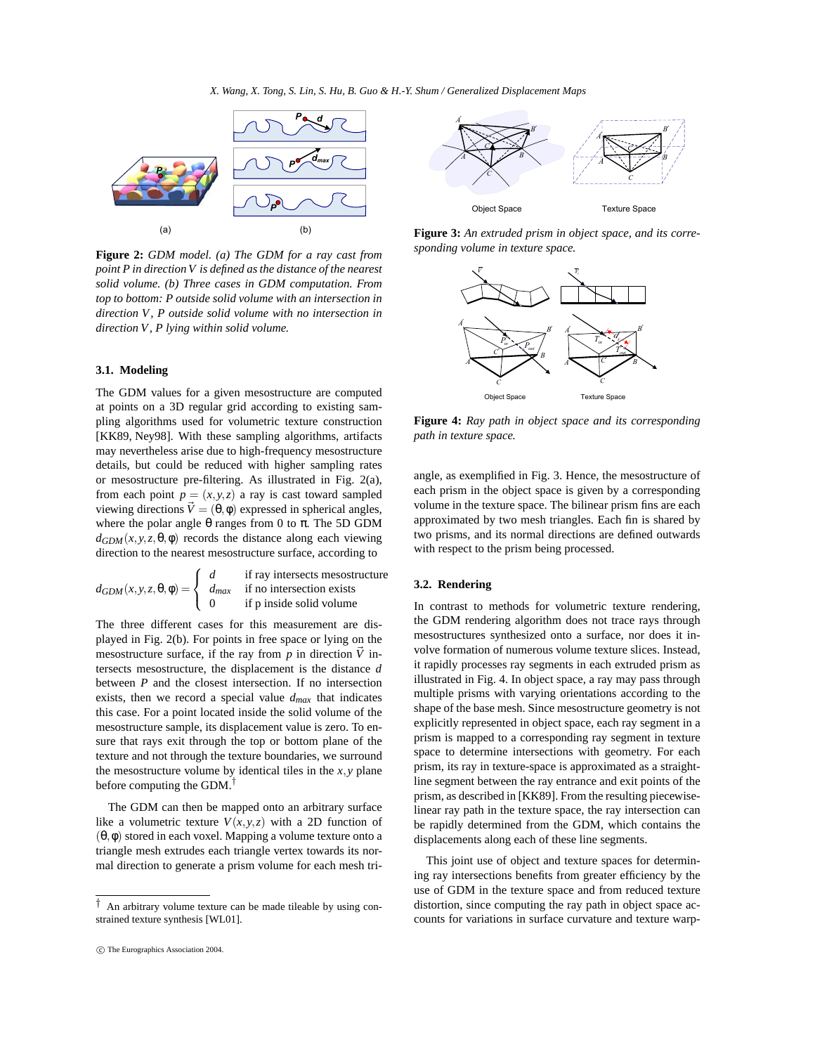*X. Wang, X. Tong, S. Lin, S. Hu, B. Guo & H.-Y. Shum / Generalized Displacement Maps*



**Figure 2:** *GDM model. (a) The GDM for a ray cast from point P in direction V is defined as the distance of the nearest solid volume. (b) Three cases in GDM computation. From top to bottom: P outside solid volume with an intersection in direction V , P outside solid volume with no intersection in direction V , P lying within solid volume.*

## **3.1. Modeling**

The GDM values for a given mesostructure are computed at points on a 3D regular grid according to existing sampling algorithms used for volumetric texture construction [KK89, Ney98]. With these sampling algorithms, artifacts may nevertheless arise due to high-frequency mesostructure details, but could be reduced with higher sampling rates or mesostructure pre-filtering. As illustrated in Fig. 2(a), from each point  $p = (x, y, z)$  a ray is cast toward sampled viewing directions  $\vec{V} = (\theta, \phi)$  expressed in spherical angles, where the polar angle θ ranges from 0 to π. The 5D GDM  $d_{GDM}(x, y, z, \theta, \phi)$  records the distance along each viewing direction to the nearest mesostructure surface, according to

$$
d_{GDM}(x, y, z, \theta, \phi) = \begin{cases} d & \text{if ray intersects mesostructure} \\ d_{max} & \text{if no intersection exists} \\ 0 & \text{if p inside solid volume} \end{cases}
$$

The three different cases for this measurement are displayed in Fig. 2(b). For points in free space or lying on the mesostructure surface, if the ray from  $p$  in direction  $\vec{V}$  intersects mesostructure, the displacement is the distance *d* between *P* and the closest intersection. If no intersection exists, then we record a special value *dmax* that indicates this case. For a point located inside the solid volume of the mesostructure sample, its displacement value is zero. To ensure that rays exit through the top or bottom plane of the texture and not through the texture boundaries, we surround the mesostructure volume by identical tiles in the  $x, y$  plane before computing the GDM.†

The GDM can then be mapped onto an arbitrary surface like a volumetric texture  $V(x, y, z)$  with a 2D function of  $(\theta, \phi)$  stored in each voxel. Mapping a volume texture onto a triangle mesh extrudes each triangle vertex towards its normal direction to generate a prism volume for each mesh tri-



**Figure 3:** *An extruded prism in object space, and its corresponding volume in texture space.*



**Figure 4:** *Ray path in object space and its corresponding path in texture space.*

angle, as exemplified in Fig. 3. Hence, the mesostructure of each prism in the object space is given by a corresponding volume in the texture space. The bilinear prism fins are each approximated by two mesh triangles. Each fin is shared by two prisms, and its normal directions are defined outwards with respect to the prism being processed.

## **3.2. Rendering**

In contrast to methods for volumetric texture rendering, the GDM rendering algorithm does not trace rays through mesostructures synthesized onto a surface, nor does it involve formation of numerous volume texture slices. Instead, it rapidly processes ray segments in each extruded prism as illustrated in Fig. 4. In object space, a ray may pass through multiple prisms with varying orientations according to the shape of the base mesh. Since mesostructure geometry is not explicitly represented in object space, each ray segment in a prism is mapped to a corresponding ray segment in texture space to determine intersections with geometry. For each prism, its ray in texture-space is approximated as a straightline segment between the ray entrance and exit points of the prism, as described in [KK89]. From the resulting piecewiselinear ray path in the texture space, the ray intersection can be rapidly determined from the GDM, which contains the displacements along each of these line segments.

This joint use of object and texture spaces for determining ray intersections benefits from greater efficiency by the use of GDM in the texture space and from reduced texture distortion, since computing the ray path in object space accounts for variations in surface curvature and texture warp-

*<sup>†</sup>* An arbitrary volume texture can be made tileable by using constrained texture synthesis [WL01].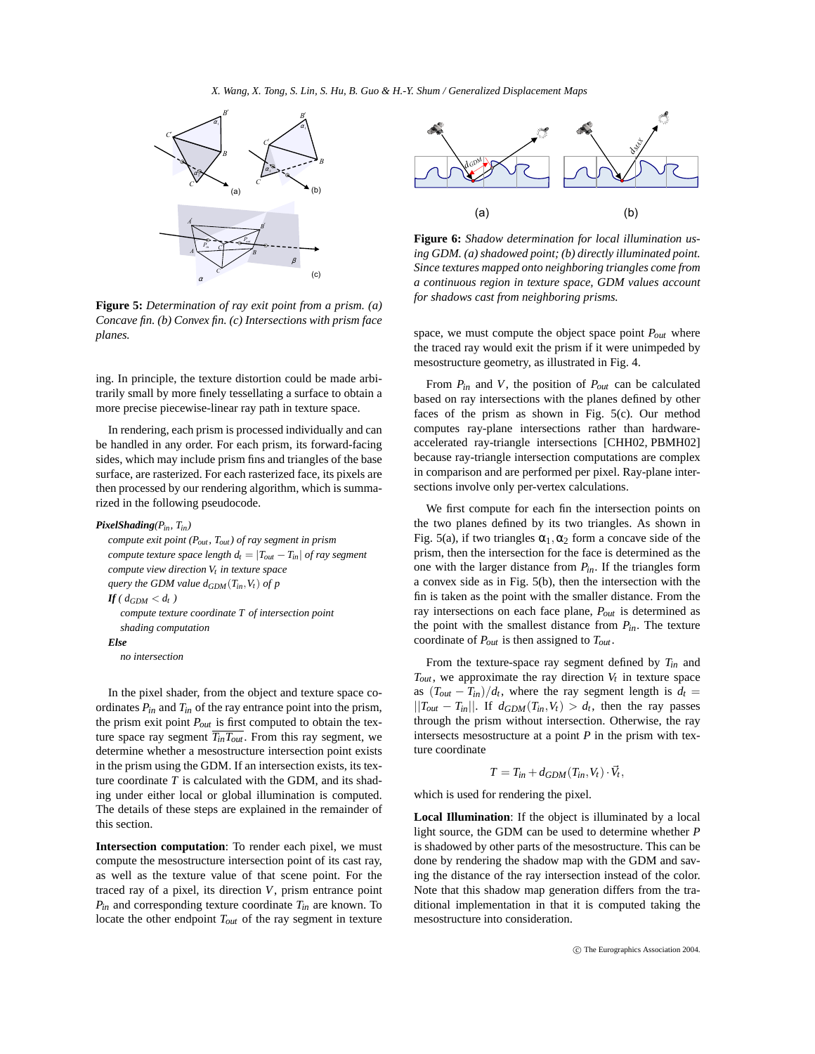

**Figure 5:** *Determination of ray exit point from a prism. (a) Concave fin. (b) Convex fin. (c) Intersections with prism face planes.*

ing. In principle, the texture distortion could be made arbitrarily small by more finely tessellating a surface to obtain a more precise piecewise-linear ray path in texture space.

In rendering, each prism is processed individually and can be handled in any order. For each prism, its forward-facing sides, which may include prism fins and triangles of the base surface, are rasterized. For each rasterized face, its pixels are then processed by our rendering algorithm, which is summarized in the following pseudocode.

#### *PixelShading(Pin, Tin)*

*compute exit point (Pout , Tout) of ray segment in prism compute texture space length*  $d_t = |T_{out} - T_{in}|$  *of ray segment compute view direction*  $V_t$  *in texture space query the GDM value dGDM*(*Tin*,*Vt*) *of p*  $If$  (  $d_{GDM} < d_t$  ) *compute texture coordinate T of intersection point shading computation Else no intersection*

In the pixel shader, from the object and texture space coordinates  $P_{in}$  and  $T_{in}$  of the ray entrance point into the prism, the prism exit point *Pout* is first computed to obtain the texture space ray segment  $\overline{T_{in}T_{out}}$ . From this ray segment, we determine whether a mesostructure intersection point exists in the prism using the GDM. If an intersection exists, its texture coordinate *T* is calculated with the GDM, and its shading under either local or global illumination is computed. The details of these steps are explained in the remainder of this section.

**Intersection computation**: To render each pixel, we must compute the mesostructure intersection point of its cast ray, as well as the texture value of that scene point. For the traced ray of a pixel, its direction *V*, prism entrance point *Pin* and corresponding texture coordinate *Tin* are known. To locate the other endpoint *Tout* of the ray segment in texture



**Figure 6:** *Shadow determination for local illumination using GDM. (a) shadowed point; (b) directly illuminated point. Since textures mapped onto neighboring triangles come from a continuous region in texture space, GDM values account for shadows cast from neighboring prisms.*

space, we must compute the object space point *Pout* where the traced ray would exit the prism if it were unimpeded by mesostructure geometry, as illustrated in Fig. 4.

From *Pin* and *V*, the position of *Pout* can be calculated based on ray intersections with the planes defined by other faces of the prism as shown in Fig. 5(c). Our method computes ray-plane intersections rather than hardwareaccelerated ray-triangle intersections [CHH02, PBMH02] because ray-triangle intersection computations are complex in comparison and are performed per pixel. Ray-plane intersections involve only per-vertex calculations.

We first compute for each fin the intersection points on the two planes defined by its two triangles. As shown in Fig. 5(a), if two triangles  $\alpha_1, \alpha_2$  form a concave side of the prism, then the intersection for the face is determined as the one with the larger distance from *Pin*. If the triangles form a convex side as in Fig. 5(b), then the intersection with the fin is taken as the point with the smaller distance. From the ray intersections on each face plane, *Pout* is determined as the point with the smallest distance from *Pin*. The texture coordinate of *Pout* is then assigned to *Tout* .

From the texture-space ray segment defined by *Tin* and  $T_{out}$ , we approximate the ray direction  $V_t$  in texture space as  $(T_{out} - T_{in})/d_t$ , where the ray segment length is  $d_t =$  $||T_{out} - T_{in}||$ . If  $d_{GDM}(T_{in}, V_t) > d_t$ , then the ray passes through the prism without intersection. Otherwise, the ray intersects mesostructure at a point *P* in the prism with texture coordinate

$$
T = T_{in} + d_{GDM}(T_{in}, V_t) \cdot \vec{V}_t,
$$

which is used for rendering the pixel.

**Local Illumination**: If the object is illuminated by a local light source, the GDM can be used to determine whether *P* is shadowed by other parts of the mesostructure. This can be done by rendering the shadow map with the GDM and saving the distance of the ray intersection instead of the color. Note that this shadow map generation differs from the traditional implementation in that it is computed taking the mesostructure into consideration.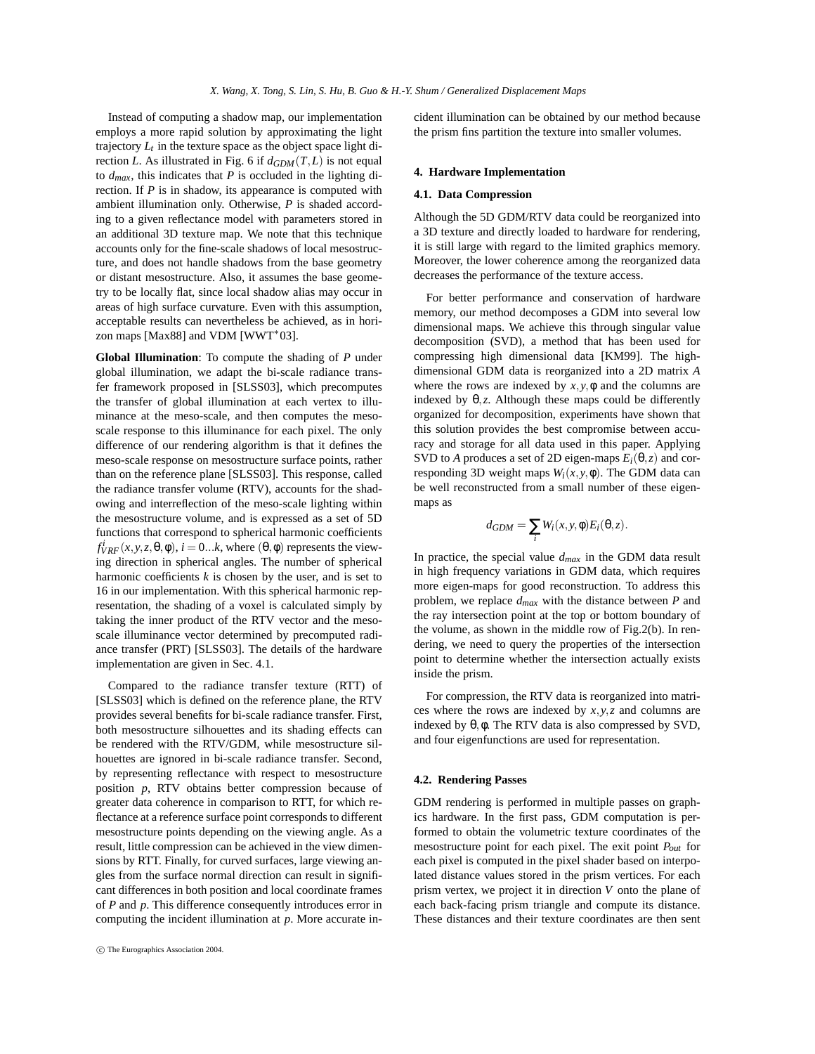Instead of computing a shadow map, our implementation employs a more rapid solution by approximating the light trajectory  $L_t$  in the texture space as the object space light direction *L*. As illustrated in Fig. 6 if  $d_{GDM}(T,L)$  is not equal to *dmax*, this indicates that *P* is occluded in the lighting direction. If *P* is in shadow, its appearance is computed with ambient illumination only. Otherwise, *P* is shaded according to a given reflectance model with parameters stored in an additional 3D texture map. We note that this technique accounts only for the fine-scale shadows of local mesostructure, and does not handle shadows from the base geometry or distant mesostructure. Also, it assumes the base geometry to be locally flat, since local shadow alias may occur in areas of high surface curvature. Even with this assumption, acceptable results can nevertheless be achieved, as in horizon maps [Max88] and VDM [WWT\*03].

**Global Illumination**: To compute the shading of *P* under global illumination, we adapt the bi-scale radiance transfer framework proposed in [SLSS03], which precomputes the transfer of global illumination at each vertex to illuminance at the meso-scale, and then computes the mesoscale response to this illuminance for each pixel. The only difference of our rendering algorithm is that it defines the meso-scale response on mesostructure surface points, rather than on the reference plane [SLSS03]. This response, called the radiance transfer volume (RTV), accounts for the shadowing and interreflection of the meso-scale lighting within the mesostructure volume, and is expressed as a set of 5D functions that correspond to spherical harmonic coefficients  $f_{VRF}^{i}(x, y, z, \theta, \phi)$ ,  $i = 0...k$ , where  $(\theta, \phi)$  represents the viewing direction in spherical angles. The number of spherical harmonic coefficients *k* is chosen by the user, and is set to 16 in our implementation. With this spherical harmonic representation, the shading of a voxel is calculated simply by taking the inner product of the RTV vector and the mesoscale illuminance vector determined by precomputed radiance transfer (PRT) [SLSS03]. The details of the hardware implementation are given in Sec. 4.1.

Compared to the radiance transfer texture (RTT) of [SLSS03] which is defined on the reference plane, the RTV provides several benefits for bi-scale radiance transfer. First, both mesostructure silhouettes and its shading effects can be rendered with the RTV/GDM, while mesostructure silhouettes are ignored in bi-scale radiance transfer. Second, by representing reflectance with respect to mesostructure position *p*, RTV obtains better compression because of greater data coherence in comparison to RTT, for which reflectance at a reference surface point corresponds to different mesostructure points depending on the viewing angle. As a result, little compression can be achieved in the view dimensions by RTT. Finally, for curved surfaces, large viewing angles from the surface normal direction can result in significant differences in both position and local coordinate frames of *P* and *p*. This difference consequently introduces error in computing the incident illumination at *p*. More accurate incident illumination can be obtained by our method because the prism fins partition the texture into smaller volumes.

#### **4. Hardware Implementation**

## **4.1. Data Compression**

Although the 5D GDM/RTV data could be reorganized into a 3D texture and directly loaded to hardware for rendering, it is still large with regard to the limited graphics memory. Moreover, the lower coherence among the reorganized data decreases the performance of the texture access.

For better performance and conservation of hardware memory, our method decomposes a GDM into several low dimensional maps. We achieve this through singular value decomposition (SVD), a method that has been used for compressing high dimensional data [KM99]. The highdimensional GDM data is reorganized into a 2D matrix *A* where the rows are indexed by  $x, y, \phi$  and the columns are indexed by  $\theta$ ,*z*. Although these maps could be differently organized for decomposition, experiments have shown that this solution provides the best compromise between accuracy and storage for all data used in this paper. Applying SVD to *A* produces a set of 2D eigen-maps  $E_i(\theta, z)$  and corresponding 3D weight maps  $W_i(x, y, \phi)$ . The GDM data can be well reconstructed from a small number of these eigenmaps as

$$
d_{GDM} = \sum_{i} W_i(x, y, \phi) E_i(\theta, z).
$$

In practice, the special value *dmax* in the GDM data result in high frequency variations in GDM data, which requires more eigen-maps for good reconstruction. To address this problem, we replace *dmax* with the distance between *P* and the ray intersection point at the top or bottom boundary of the volume, as shown in the middle row of Fig.2(b). In rendering, we need to query the properties of the intersection point to determine whether the intersection actually exists inside the prism.

For compression, the RTV data is reorganized into matrices where the rows are indexed by *x*, *y*,*z* and columns are indexed by θ,φ. The RTV data is also compressed by SVD, and four eigenfunctions are used for representation.

## **4.2. Rendering Passes**

GDM rendering is performed in multiple passes on graphics hardware. In the first pass, GDM computation is performed to obtain the volumetric texture coordinates of the mesostructure point for each pixel. The exit point *Pout* for each pixel is computed in the pixel shader based on interpolated distance values stored in the prism vertices. For each prism vertex, we project it in direction *V* onto the plane of each back-facing prism triangle and compute its distance. These distances and their texture coordinates are then sent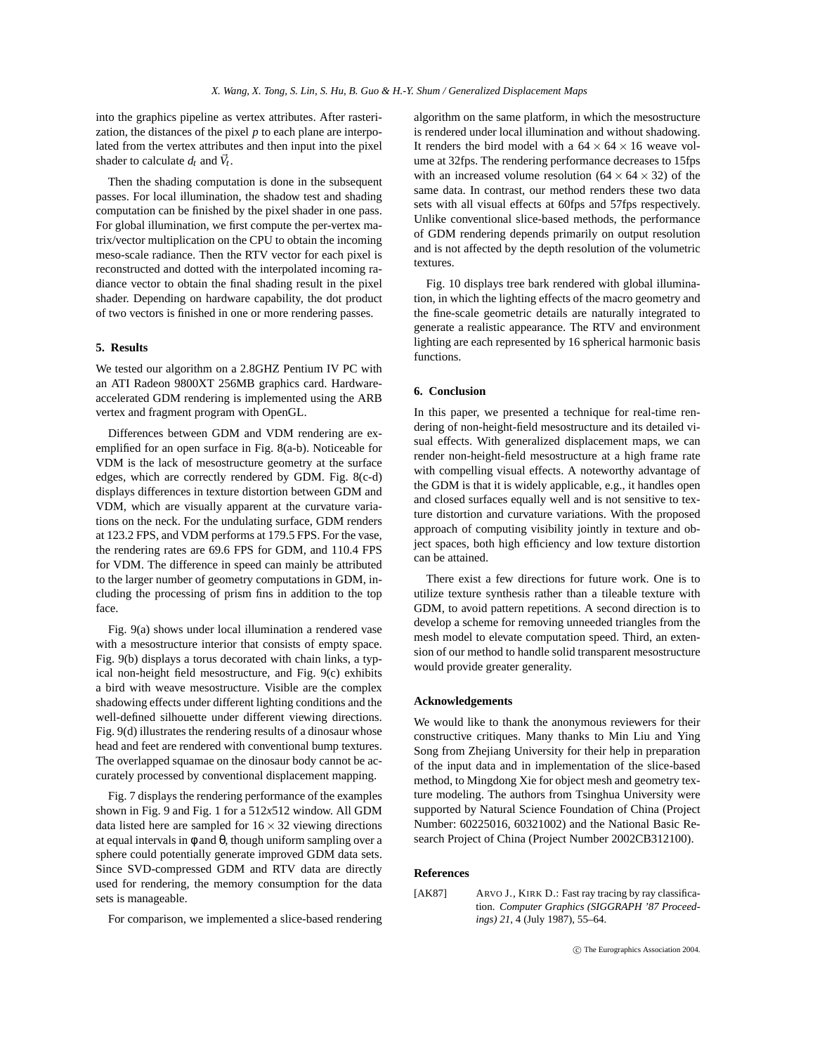into the graphics pipeline as vertex attributes. After rasterization, the distances of the pixel *p* to each plane are interpolated from the vertex attributes and then input into the pixel shader to calculate  $d_t$  and  $\vec{V}_t$ .

Then the shading computation is done in the subsequent passes. For local illumination, the shadow test and shading computation can be finished by the pixel shader in one pass. For global illumination, we first compute the per-vertex matrix/vector multiplication on the CPU to obtain the incoming meso-scale radiance. Then the RTV vector for each pixel is reconstructed and dotted with the interpolated incoming radiance vector to obtain the final shading result in the pixel shader. Depending on hardware capability, the dot product of two vectors is finished in one or more rendering passes.

## **5. Results**

We tested our algorithm on a 2.8GHZ Pentium IV PC with an ATI Radeon 9800XT 256MB graphics card. Hardwareaccelerated GDM rendering is implemented using the ARB vertex and fragment program with OpenGL.

Differences between GDM and VDM rendering are exemplified for an open surface in Fig. 8(a-b). Noticeable for VDM is the lack of mesostructure geometry at the surface edges, which are correctly rendered by GDM. Fig. 8(c-d) displays differences in texture distortion between GDM and VDM, which are visually apparent at the curvature variations on the neck. For the undulating surface, GDM renders at 123.2 FPS, and VDM performs at 179.5 FPS. For the vase, the rendering rates are 69.6 FPS for GDM, and 110.4 FPS for VDM. The difference in speed can mainly be attributed to the larger number of geometry computations in GDM, including the processing of prism fins in addition to the top face.

Fig. 9(a) shows under local illumination a rendered vase with a mesostructure interior that consists of empty space. Fig. 9(b) displays a torus decorated with chain links, a typical non-height field mesostructure, and Fig. 9(c) exhibits a bird with weave mesostructure. Visible are the complex shadowing effects under different lighting conditions and the well-defined silhouette under different viewing directions. Fig. 9(d) illustrates the rendering results of a dinosaur whose head and feet are rendered with conventional bump textures. The overlapped squamae on the dinosaur body cannot be accurately processed by conventional displacement mapping.

Fig. 7 displays the rendering performance of the examples shown in Fig. 9 and Fig. 1 for a 512*x*512 window. All GDM data listed here are sampled for  $16 \times 32$  viewing directions at equal intervals in  $\phi$  and  $\theta$ , though uniform sampling over a sphere could potentially generate improved GDM data sets. Since SVD-compressed GDM and RTV data are directly used for rendering, the memory consumption for the data sets is manageable.

For comparison, we implemented a slice-based rendering

algorithm on the same platform, in which the mesostructure is rendered under local illumination and without shadowing. It renders the bird model with a  $64 \times 64 \times 16$  weave volume at 32fps. The rendering performance decreases to 15fps with an increased volume resolution  $(64 \times 64 \times 32)$  of the same data. In contrast, our method renders these two data sets with all visual effects at 60fps and 57fps respectively. Unlike conventional slice-based methods, the performance of GDM rendering depends primarily on output resolution and is not affected by the depth resolution of the volumetric textures.

Fig. 10 displays tree bark rendered with global illumination, in which the lighting effects of the macro geometry and the fine-scale geometric details are naturally integrated to generate a realistic appearance. The RTV and environment lighting are each represented by 16 spherical harmonic basis functions.

#### **6. Conclusion**

In this paper, we presented a technique for real-time rendering of non-height-field mesostructure and its detailed visual effects. With generalized displacement maps, we can render non-height-field mesostructure at a high frame rate with compelling visual effects. A noteworthy advantage of the GDM is that it is widely applicable, e.g., it handles open and closed surfaces equally well and is not sensitive to texture distortion and curvature variations. With the proposed approach of computing visibility jointly in texture and object spaces, both high efficiency and low texture distortion can be attained.

There exist a few directions for future work. One is to utilize texture synthesis rather than a tileable texture with GDM, to avoid pattern repetitions. A second direction is to develop a scheme for removing unneeded triangles from the mesh model to elevate computation speed. Third, an extension of our method to handle solid transparent mesostructure would provide greater generality.

## **Acknowledgements**

We would like to thank the anonymous reviewers for their constructive critiques. Many thanks to Min Liu and Ying Song from Zhejiang University for their help in preparation of the input data and in implementation of the slice-based method, to Mingdong Xie for object mesh and geometry texture modeling. The authors from Tsinghua University were supported by Natural Science Foundation of China (Project Number: 60225016, 60321002) and the National Basic Research Project of China (Project Number 2002CB312100).

#### **References**

[AK87] ARVO J., KIRK D.: Fast ray tracing by ray classification. *Computer Graphics (SIGGRAPH '87 Proceedings) 21*, 4 (July 1987), 55–64.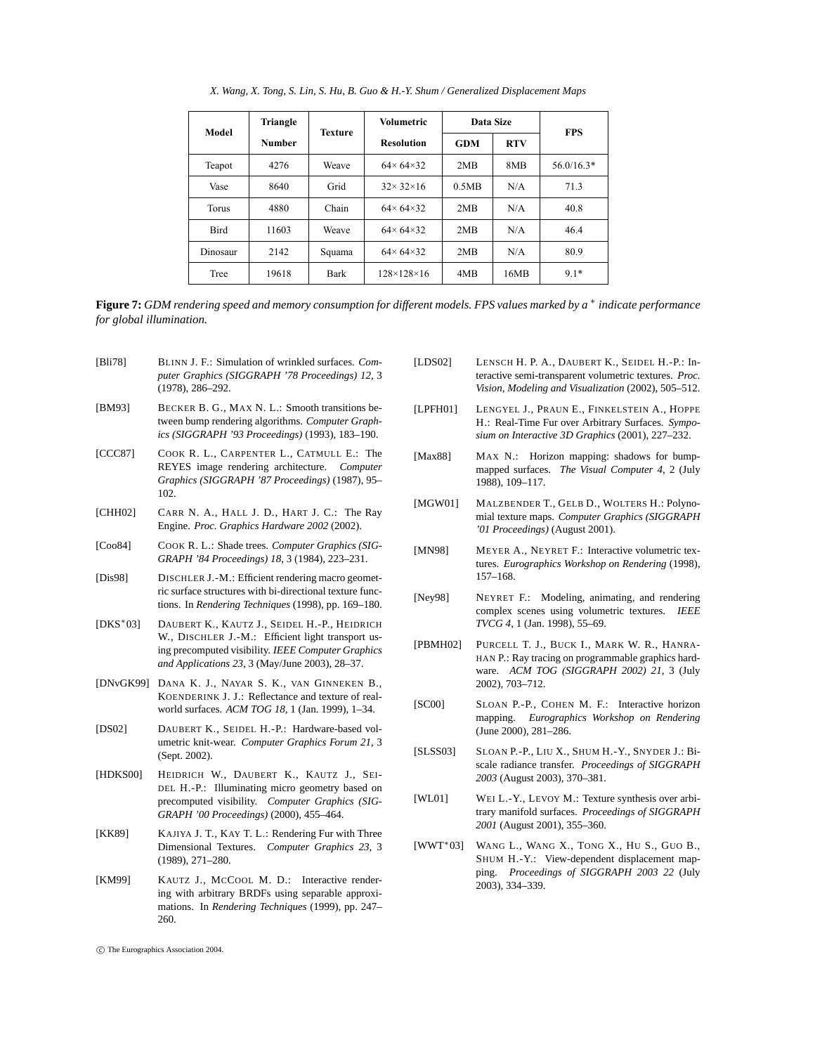| Model        | Triangle      | Texture | <b>Volumetric</b>          | Data Size  |            | <b>FPS</b>   |
|--------------|---------------|---------|----------------------------|------------|------------|--------------|
|              | <b>Number</b> |         | <b>Resolution</b>          | <b>GDM</b> | <b>RTV</b> |              |
| Teapot       | 4276          | Weave   | $64 \times 64 \times 32$   | 2MB        | 8MB        | $56.0/16.3*$ |
| Vase         | 8640          | Grid    | $32 \times 32 \times 16$   | 0.5MB      | N/A        | 71.3         |
| <b>Torus</b> | 4880          | Chain   | $64 \times 64 \times 32$   | 2MB        | N/A        | 40.8         |
| Bird         | 11603         | Weave   | $64 \times 64 \times 32$   | 2MB        | N/A        | 46.4         |
| Dinosaur     | 2142          | Squama  | $64 \times 64 \times 32$   | 2MB        | N/A        | 80.9         |
| Tree         | 19618         | Bark    | $128 \times 128 \times 16$ | 4MB        | 16MB       | $9.1*$       |

*X. Wang, X. Tong, S. Lin, S. Hu, B. Guo & H.-Y. Shum / Generalized Displacement Maps*

**Figure 7:** *GDM rendering speed and memory consumption for different models. FPS values marked by a* ∗ *indicate performance for global illumination.*

- [Bli78] BLINN J. F.: Simulation of wrinkled surfaces. *Computer Graphics (SIGGRAPH '78 Proceedings) 12*, 3 (1978), 286–292.
- [BM93] BECKER B. G., MAX N. L.: Smooth transitions between bump rendering algorithms. *Computer Graphics (SIGGRAPH '93 Proceedings)* (1993), 183–190.
- [CCC87] COOK R. L., CARPENTER L., CATMULL E.: The REYES image rendering architecture. *Computer Graphics (SIGGRAPH '87 Proceedings)* (1987), 95– 102.
- [CHH02] CARR N. A., HALL J. D., HART J. C.: The Ray Engine. *Proc. Graphics Hardware 2002* (2002).
- [Coo84] COOK R. L.: Shade trees. *Computer Graphics (SIG-GRAPH '84 Proceedings) 18*, 3 (1984), 223–231.
- [Dis98] DISCHLER J.-M.: Efficient rendering macro geometric surface structures with bi-directional texture functions. In *Rendering Techniques* (1998), pp. 169–180.
- [DKS∗03] DAUBERT K., KAUTZ J., SEIDEL H.-P., HEIDRICH W., DISCHLER J.-M.: Efficient light transport using precomputed visibility. *IEEE Computer Graphics and Applications 23*, 3 (May/June 2003), 28–37.
- [DNvGK99] DANA K. J., NAYAR S. K., VAN GINNEKEN B., KOENDERINK J. J.: Reflectance and texture of realworld surfaces. *ACM TOG 18*, 1 (Jan. 1999), 1–34.
- [DS02] DAUBERT K., SEIDEL H.-P.: Hardware-based volumetric knit-wear. *Computer Graphics Forum 21*, 3 (Sept. 2002).
- [HDKS00] HEIDRICH W., DAUBERT K., KAUTZ J., SEI-DEL H.-P.: Illuminating micro geometry based on precomputed visibility. *Computer Graphics (SIG-GRAPH '00 Proceedings)* (2000), 455–464.
- [KK89] KAJIYA J. T., KAY T. L.: Rendering Fur with Three Dimensional Textures. *Computer Graphics 23*, 3 (1989), 271–280.
- [KM99] KAUTZ J., MCCOOL M. D.: Interactive rendering with arbitrary BRDFs using separable approximations. In *Rendering Techniques* (1999), pp. 247– 260.
- [LDS02] LENSCH H. P. A., DAUBERT K., SEIDEL H.-P.: Interactive semi-transparent volumetric textures. *Proc. Vision, Modeling and Visualization* (2002), 505–512.
- [LPFH01] LENGYEL J., PRAUN E., FINKELSTEIN A., HOPPE H.: Real-Time Fur over Arbitrary Surfaces. *Symposium on Interactive 3D Graphics* (2001), 227–232.
- [Max88] MAX N.: Horizon mapping: shadows for bumpmapped surfaces. *The Visual Computer 4*, 2 (July 1988), 109–117.
- [MGW01] MALZBENDER T., GELB D., WOLTERS H.: Polynomial texture maps. *Computer Graphics (SIGGRAPH '01 Proceedings)* (August 2001).
- [MN98] MEYER A., NEYRET F.: Interactive volumetric textures. *Eurographics Workshop on Rendering* (1998), 157–168.
- [Ney98] NEYRET F.: Modeling, animating, and rendering complex scenes using volumetric textures. *IEEE TVCG 4*, 1 (Jan. 1998), 55–69.
- [PBMH02] PURCELL T. J., BUCK I., MARK W. R., HANRA-HAN P.: Ray tracing on programmable graphics hardware. *ACM TOG (SIGGRAPH 2002) 21*, 3 (July 2002), 703–712.
- [SC00] SLOAN P.-P., COHEN M. F.: Interactive horizon mapping. *Eurographics Workshop on Rendering* (June 2000), 281–286.
- [SLSS03] SLOAN P.-P., LIU X., SHUM H.-Y., SNYDER J.: Biscale radiance transfer. *Proceedings of SIGGRAPH 2003* (August 2003), 370–381.
- [WL01] WEI L.-Y., LEVOY M.: Texture synthesis over arbitrary manifold surfaces. *Proceedings of SIGGRAPH 2001* (August 2001), 355–360.
- [WWT∗03] WANG L., WANG X., TONG X., HU S., GUO B., SHUM H.-Y.: View-dependent displacement mapping. *Proceedings of SIGGRAPH 2003 22* (July 2003), 334–339.

<sup>-</sup>c The Eurographics Association 2004.